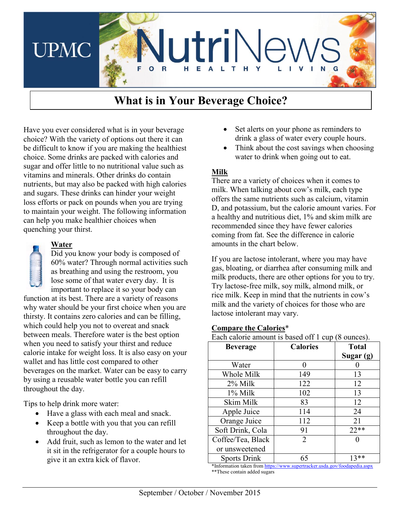

# **What is in Your Beverage Choice?**

Have you ever considered what is in your beverage choice? With the variety of options out there it can be difficult to know if you are making the healthiest choice. Some drinks are packed with calories and sugar and offer little to no nutritional value such as vitamins and minerals. Other drinks do contain nutrients, but may also be packed with high calories and sugars. These drinks can hinder your weight loss efforts or pack on pounds when you are trying to maintain your weight. The following information can help you make healthier choices when quenching your thirst.

# **Water**

Did you know your body is composed of 60% water? Through normal activities such as breathing and using the restroom, you lose some of that water every day. It is important to replace it so your body can

function at its best. There are a variety of reasons why water should be your first choice when you are thirsty. It contains zero calories and can be filling, which could help you not to overeat and snack between meals. Therefore water is the best option when you need to satisfy your thirst and reduce calorie intake for weight loss. It is also easy on your wallet and has little cost compared to other beverages on the market. Water can be easy to carry by using a reusable water bottle you can refill throughout the day.

Tips to help drink more water:

- Have a glass with each meal and snack.
- Keep a bottle with you that you can refill throughout the day.
- Add fruit, such as lemon to the water and let it sit in the refrigerator for a couple hours to give it an extra kick of flavor.
- Set alerts on your phone as reminders to drink a glass of water every couple hours.
- Think about the cost savings when choosing water to drink when going out to eat.

### **Milk**

There are a variety of choices when it comes to milk. When talking about cow's milk, each type offers the same nutrients such as calcium, vitamin D, and potassium, but the calorie amount varies. For a healthy and nutritious diet, 1% and skim milk are recommended since they have fewer calories coming from fat. See the difference in calorie amounts in the chart below.

If you are lactose intolerant, where you may have gas, bloating, or diarrhea after consuming milk and milk products, there are other options for you to try. Try lactose-free milk, soy milk, almond milk, or rice milk. Keep in mind that the nutrients in cow's milk and the variety of choices for those who are lactose intolerant may vary.

#### **Compare the Calories**\*

Each calorie amount is based off 1 cup (8 ounces).

| <b>Beverage</b>     | <b>Calories</b> | <b>Total</b> |
|---------------------|-----------------|--------------|
|                     |                 | Sugar (g)    |
| Water               |                 |              |
| Whole Milk          | 149             | 13           |
| 2% Milk             | 122             | 12           |
| 1% Milk             | 102             | 13           |
| Skim Milk           | 83              | 12           |
| Apple Juice         | 114             | 24           |
| Orange Juice        | 112             | 21           |
| Soft Drink, Cola    | 91              | $22**$       |
| Coffee/Tea, Black   | 2               |              |
| or unsweetened      |                 |              |
| <b>Sports Drink</b> | 65              | $13**$       |

\*Information taken fro[m https://www.supertracker.usda.gov/foodapedia.aspx](https://www.supertracker.usda.gov/foodapedia.aspx) \*\*These contain added sugars